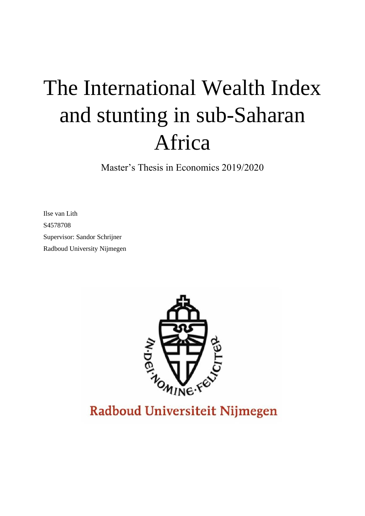# The International Wealth Index and stunting in sub-Saharan Africa

Master's Thesis in Economics 2019/2020

Ilse van Lith S4578708 Supervisor: Sandor Schrijner Radboud University Nijmegen



Radboud Universiteit Nijmegen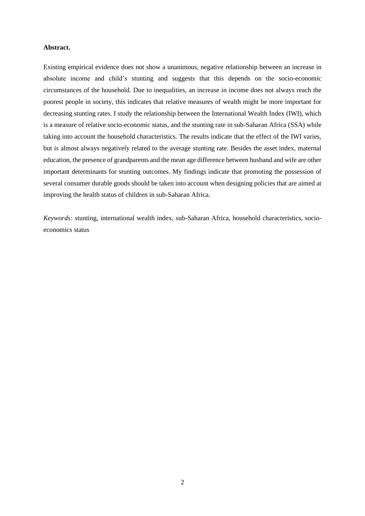# **Abstract.**

Existing empirical evidence does not show a unanimous, negative relationship between an increase in absolute income and child's stunting and suggests that this depends on the socio-economic circumstances of the household. Due to inequalities, an increase in income does not always reach the poorest people in society, this indicates that relative measures of wealth might be more important for decreasing stunting rates. I study the relationship between the International Wealth Index (IWI), which is a measure of relative socio-economic status, and the stunting rate in sub-Saharan Africa (SSA) while taking into account the household characteristics. The results indicate that the effect of the IWI varies, but is almost always negatively related to the average stunting rate. Besides the asset index, maternal education, the presence of grandparents and the mean age difference between husband and wife are other important determinants for stunting outcomes. My findings indicate that promoting the possession of several consumer durable goods should be taken into account when designing policies that are aimed at improving the health status of children in sub-Saharan Africa.

*Keywords:* stunting, international wealth index, sub-Saharan Africa, household characteristics, socioeconomics status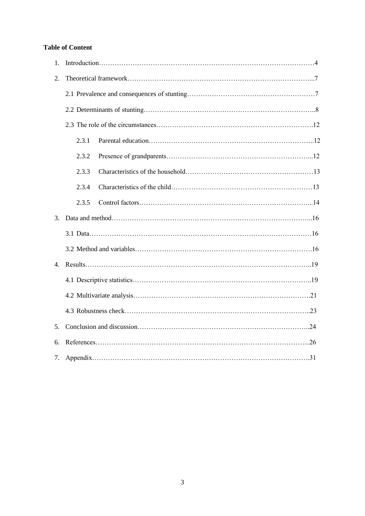# **Table of Content**

| $\mathbf{1}$ .   |       |  |  |  |
|------------------|-------|--|--|--|
| 2.               |       |  |  |  |
|                  |       |  |  |  |
|                  |       |  |  |  |
|                  |       |  |  |  |
|                  | 2.3.1 |  |  |  |
|                  | 2.3.2 |  |  |  |
|                  | 2.3.3 |  |  |  |
|                  | 2.3.4 |  |  |  |
|                  | 2.3.5 |  |  |  |
| 3.               |       |  |  |  |
|                  |       |  |  |  |
|                  |       |  |  |  |
| $\overline{4}$ . |       |  |  |  |
|                  |       |  |  |  |
|                  |       |  |  |  |
|                  |       |  |  |  |
| 5 <sub>1</sub>   |       |  |  |  |
| 6.               |       |  |  |  |
| 7.               |       |  |  |  |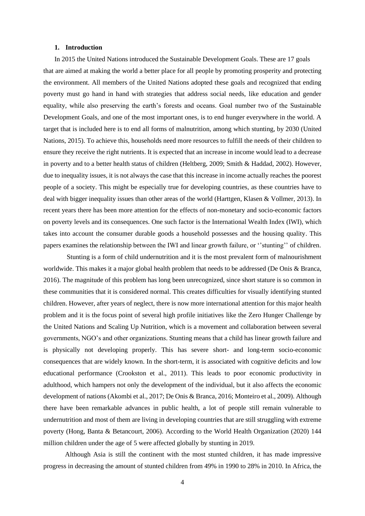#### **1. Introduction**

In 2015 the United Nations introduced the Sustainable Development Goals. These are 17 goals that are aimed at making the world a better place for all people by promoting prosperity and protecting the environment. All members of the United Nations adopted these goals and recognized that ending poverty must go hand in hand with strategies that address social needs, like education and gender equality, while also preserving the earth's forests and oceans. Goal number two of the Sustainable Development Goals, and one of the most important ones, is to end hunger everywhere in the world. A target that is included here is to end all forms of malnutrition, among which stunting, by 2030 (United Nations, 2015). To achieve this, households need more resources to fulfill the needs of their children to ensure they receive the right nutrients. It is expected that an increase in income would lead to a decrease in poverty and to a better health status of children (Heltberg, 2009; Smith & Haddad, 2002). However, due to inequality issues, it is not always the case that this increase in income actually reaches the poorest people of a society. This might be especially true for developing countries, as these countries have to deal with bigger inequality issues than other areas of the world (Harttgen, Klasen & Vollmer, 2013). In recent years there has been more attention for the effects of non-monetary and socio-economic factors on poverty levels and its consequences. One such factor is the International Wealth Index (IWI), which takes into account the consumer durable goods a household possesses and the housing quality. This papers examines the relationship between the IWI and linear growth failure, or ''stunting'' of children.

Stunting is a form of child undernutrition and it is the most prevalent form of malnourishment worldwide. This makes it a major global health problem that needs to be addressed (De Onis & Branca, 2016). The magnitude of this problem has long been unrecognized, since short stature is so common in these communities that it is considered normal. This creates difficulties for visually identifying stunted children. However, after years of neglect, there is now more international attention for this major health problem and it is the focus point of several high profile initiatives like the Zero Hunger Challenge by the United Nations and Scaling Up Nutrition, which is a movement and collaboration between several governments, NGO's and other organizations. Stunting means that a child has linear growth failure and is physically not developing properly. This has severe short- and long-term socio-economic consequences that are widely known. In the short-term, it is associated with cognitive deficits and low educational performance (Crookston et al., 2011). This leads to poor economic productivity in adulthood, which hampers not only the development of the individual, but it also affects the economic development of nations (Akombi et al., 2017; De Onis & Branca, 2016; Monteiro et al., 2009). Although there have been remarkable advances in public health, a lot of people still remain vulnerable to undernutrition and most of them are living in developing countries that are still struggling with extreme poverty (Hong, Banta & Betancourt, 2006). According to the World Health Organization (2020) 144 million children under the age of 5 were affected globally by stunting in 2019.

Although Asia is still the continent with the most stunted children, it has made impressive progress in decreasing the amount of stunted children from 49% in 1990 to 28% in 2010. In Africa, the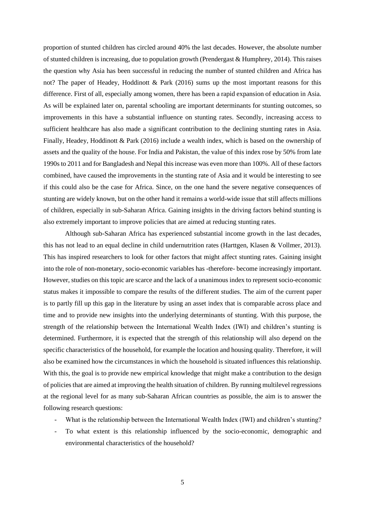proportion of stunted children has circled around 40% the last decades. However, the absolute number of stunted children is increasing, due to population growth (Prendergast  $&$  Humphrey, 2014). This raises the question why Asia has been successful in reducing the number of stunted children and Africa has not? The paper of Headey, Hoddinott & Park (2016) sums up the most important reasons for this difference. First of all, especially among women, there has been a rapid expansion of education in Asia. As will be explained later on, parental schooling are important determinants for stunting outcomes, so improvements in this have a substantial influence on stunting rates. Secondly, increasing access to sufficient healthcare has also made a significant contribution to the declining stunting rates in Asia. Finally, Headey, Hoddinott & Park (2016) include a wealth index, which is based on the ownership of assets and the quality of the house. For India and Pakistan, the value of this index rose by 50% from late 1990s to 2011 and for Bangladesh and Nepal this increase was even more than 100%. All of these factors combined, have caused the improvements in the stunting rate of Asia and it would be interesting to see if this could also be the case for Africa. Since, on the one hand the severe negative consequences of stunting are widely known, but on the other hand it remains a world-wide issue that still affects millions of children, especially in sub-Saharan Africa. Gaining insights in the driving factors behind stunting is also extremely important to improve policies that are aimed at reducing stunting rates.

Although sub-Saharan Africa has experienced substantial income growth in the last decades, this has not lead to an equal decline in child undernutrition rates (Harttgen, Klasen & Vollmer, 2013). This has inspired researchers to look for other factors that might affect stunting rates. Gaining insight into the role of non-monetary, socio-economic variables has -therefore- become increasingly important. However, studies on this topic are scarce and the lack of a unanimous index to represent socio-economic status makes it impossible to compare the results of the different studies. The aim of the current paper is to partly fill up this gap in the literature by using an asset index that is comparable across place and time and to provide new insights into the underlying determinants of stunting. With this purpose, the strength of the relationship between the International Wealth Index (IWI) and children's stunting is determined. Furthermore, it is expected that the strength of this relationship will also depend on the specific characteristics of the household, for example the location and housing quality. Therefore, it will also be examined how the circumstances in which the household is situated influences this relationship. With this, the goal is to provide new empirical knowledge that might make a contribution to the design of policies that are aimed at improving the health situation of children. By running multilevel regressions at the regional level for as many sub-Saharan African countries as possible, the aim is to answer the following research questions:

- What is the relationship between the International Wealth Index (IWI) and children's stunting?
- To what extent is this relationship influenced by the socio-economic, demographic and environmental characteristics of the household?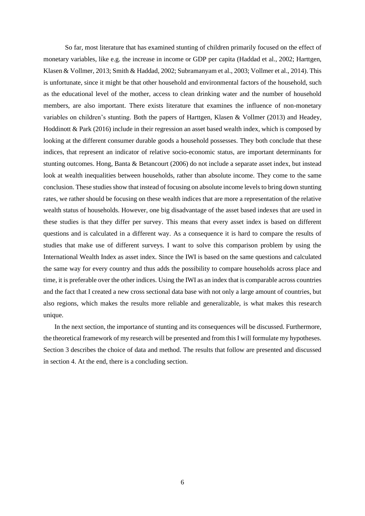So far, most literature that has examined stunting of children primarily focused on the effect of monetary variables, like e.g. the increase in income or GDP per capita (Haddad et al., 2002; Harttgen, Klasen & Vollmer, 2013; Smith & Haddad, 2002; Subramanyam et al., 2003; Vollmer et al., 2014). This is unfortunate, since it might be that other household and environmental factors of the household, such as the educational level of the mother, access to clean drinking water and the number of household members, are also important. There exists literature that examines the influence of non-monetary variables on children's stunting. Both the papers of Harttgen, Klasen & Vollmer (2013) and Headey, Hoddinott & Park (2016) include in their regression an asset based wealth index, which is composed by looking at the different consumer durable goods a household possesses. They both conclude that these indices, that represent an indicator of relative socio-economic status, are important determinants for stunting outcomes. Hong, Banta & Betancourt (2006) do not include a separate asset index, but instead look at wealth inequalities between households, rather than absolute income. They come to the same conclusion. These studies show that instead of focusing on absolute income levels to bring down stunting rates, we rather should be focusing on these wealth indices that are more a representation of the relative wealth status of households. However, one big disadvantage of the asset based indexes that are used in these studies is that they differ per survey. This means that every asset index is based on different questions and is calculated in a different way. As a consequence it is hard to compare the results of studies that make use of different surveys. I want to solve this comparison problem by using the International Wealth Index as asset index. Since the IWI is based on the same questions and calculated the same way for every country and thus adds the possibility to compare households across place and time, it is preferable over the other indices. Using the IWI as an index that is comparable across countries and the fact that I created a new cross sectional data base with not only a large amount of countries, but also regions, which makes the results more reliable and generalizable, is what makes this research unique.

In the next section, the importance of stunting and its consequences will be discussed. Furthermore, the theoretical framework of my research will be presented and from this I will formulate my hypotheses. Section 3 describes the choice of data and method. The results that follow are presented and discussed in section 4. At the end, there is a concluding section.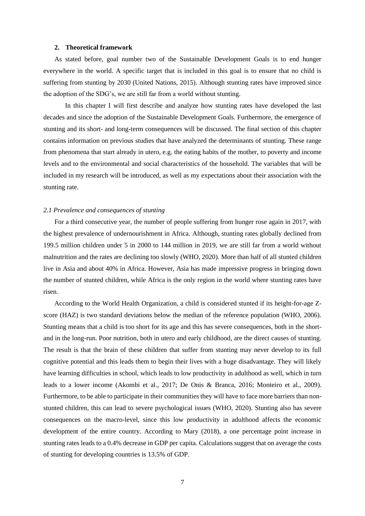#### **2. Theoretical framework**

As stated before, goal number two of the Sustainable Development Goals is to end hunger everywhere in the world. A specific target that is included in this goal is to ensure that no child is suffering from stunting by 2030 (United Nations, 2015). Although stunting rates have improved since the adoption of the SDG's, we are still far from a world without stunting.

In this chapter I will first describe and analyze how stunting rates have developed the last decades and since the adoption of the Sustainable Development Goals. Furthermore, the emergence of stunting and its short- and long-term consequences will be discussed. The final section of this chapter contains information on previous studies that have analyzed the determinants of stunting. These range from phenomena that start already in utero, e.g. the eating habits of the mother, to poverty and income levels and to the environmental and social characteristics of the household. The variables that will be included in my research will be introduced, as well as my expectations about their association with the stunting rate.

# *2.1 Prevalence and consequences of stunting*

For a third consecutive year, the number of people suffering from hunger rose again in 2017, with the highest prevalence of undernourishment in Africa. Although, stunting rates globally declined from 199.5 million children under 5 in 2000 to 144 million in 2019, we are still far from a world without malnutrition and the rates are declining too slowly (WHO, 2020). More than half of all stunted children live in Asia and about 40% in Africa. However, Asia has made impressive progress in bringing down the number of stunted children, while Africa is the only region in the world where stunting rates have risen.

According to the World Health Organization, a child is considered stunted if its height-for-age Zscore (HAZ) is two standard deviations below the median of the reference population (WHO, 2006). Stunting means that a child is too short for its age and this has severe consequences, both in the shortand in the long-run. Poor nutrition, both in utero and early childhood, are the direct causes of stunting. The result is that the brain of these children that suffer from stunting may never develop to its full cognitive potential and this leads them to begin their lives with a huge disadvantage. They will likely have learning difficulties in school, which leads to low productivity in adulthood as well, which in turn leads to a lower income (Akombi et al., 2017; De Onis & Branca, 2016; Monteiro et al., 2009). Furthermore, to be able to participate in their communities they will have to face more barriers than nonstunted children, this can lead to severe psychological issues (WHO, 2020). Stunting also has severe consequences on the macro-level, since this low productivity in adulthood affects the economic development of the entire country. According to Mary (2018), a one percentage point increase in stunting rates leads to a 0.4% decrease in GDP per capita. Calculations suggest that on average the costs of stunting for developing countries is 13.5% of GDP.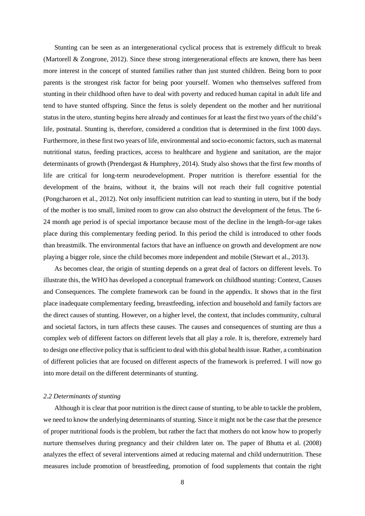Stunting can be seen as an intergenerational cyclical process that is extremely difficult to break (Martorell & Zongrone, 2012). Since these strong intergenerational effects are known, there has been more interest in the concept of stunted families rather than just stunted children. Being born to poor parents is the strongest risk factor for being poor yourself. Women who themselves suffered from stunting in their childhood often have to deal with poverty and reduced human capital in adult life and tend to have stunted offspring. Since the fetus is solely dependent on the mother and her nutritional status in the utero, stunting begins here already and continues for at least the first two years of the child's life, postnatal. Stunting is, therefore, considered a condition that is determined in the first 1000 days. Furthermore, in these first two years of life, environmental and socio-economic factors, such as maternal nutritional status, feeding practices, access to healthcare and hygiene and sanitation, are the major determinants of growth (Prendergast & Humphrey, 2014). Study also shows that the first few months of life are critical for long-term neurodevelopment. Proper nutrition is therefore essential for the development of the brains, without it, the brains will not reach their full cognitive potential (Pongcharoen et al., 2012). Not only insufficient nutrition can lead to stunting in utero, but if the body of the mother is too small, limited room to grow can also obstruct the development of the fetus. The 6- 24 month age period is of special importance because most of the decline in the length-for-age takes place during this complementary feeding period. In this period the child is introduced to other foods than breastmilk. The environmental factors that have an influence on growth and development are now playing a bigger role, since the child becomes more independent and mobile (Stewart et al., 2013).

As becomes clear, the origin of stunting depends on a great deal of factors on different levels. To illustrate this, the WHO has developed a conceptual framework on childhood stunting: Context, Causes and Consequences. The complete framework can be found in the appendix. It shows that in the first place inadequate complementary feeding, breastfeeding, infection and household and family factors are the direct causes of stunting. However, on a higher level, the context, that includes community, cultural and societal factors, in turn affects these causes. The causes and consequences of stunting are thus a complex web of different factors on different levels that all play a role. It is, therefore, extremely hard to design one effective policy that is sufficient to deal with this global health issue. Rather, a combination of different policies that are focused on different aspects of the framework is preferred. I will now go into more detail on the different determinants of stunting.

### *2.2 Determinants of stunting*

Although it is clear that poor nutrition is the direct cause of stunting, to be able to tackle the problem, we need to know the underlying determinants of stunting. Since it might not be the case that the presence of proper nutritional foods is the problem, but rather the fact that mothers do not know how to properly nurture themselves during pregnancy and their children later on. The paper of Bhutta et al. (2008) analyzes the effect of several interventions aimed at reducing maternal and child undernutrition. These measures include promotion of breastfeeding, promotion of food supplements that contain the right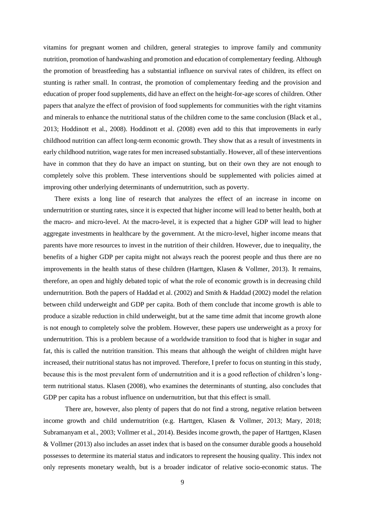vitamins for pregnant women and children, general strategies to improve family and community nutrition, promotion of handwashing and promotion and education of complementary feeding. Although the promotion of breastfeeding has a substantial influence on survival rates of children, its effect on stunting is rather small. In contrast, the promotion of complementary feeding and the provision and education of proper food supplements, did have an effect on the height-for-age scores of children. Other papers that analyze the effect of provision of food supplements for communities with the right vitamins and minerals to enhance the nutritional status of the children come to the same conclusion (Black et al., 2013; Hoddinott et al., 2008). Hoddinott et al. (2008) even add to this that improvements in early childhood nutrition can affect long-term economic growth. They show that as a result of investments in early childhood nutrition, wage rates for men increased substantially. However, all of these interventions have in common that they do have an impact on stunting, but on their own they are not enough to completely solve this problem. These interventions should be supplemented with policies aimed at improving other underlying determinants of undernutrition, such as poverty.

There exists a long line of research that analyzes the effect of an increase in income on undernutrition or stunting rates, since it is expected that higher income will lead to better health, both at the macro- and micro-level. At the macro-level, it is expected that a higher GDP will lead to higher aggregate investments in healthcare by the government. At the micro-level, higher income means that parents have more resources to invest in the nutrition of their children. However, due to inequality, the benefits of a higher GDP per capita might not always reach the poorest people and thus there are no improvements in the health status of these children (Harttgen, Klasen & Vollmer, 2013). It remains, therefore, an open and highly debated topic of what the role of economic growth is in decreasing child undernutrition. Both the papers of Haddad et al. (2002) and Smith & Haddad (2002) model the relation between child underweight and GDP per capita. Both of them conclude that income growth is able to produce a sizable reduction in child underweight, but at the same time admit that income growth alone is not enough to completely solve the problem. However, these papers use underweight as a proxy for undernutrition. This is a problem because of a worldwide transition to food that is higher in sugar and fat, this is called the nutrition transition. This means that although the weight of children might have increased, their nutritional status has not improved. Therefore, I prefer to focus on stunting in this study, because this is the most prevalent form of undernutrition and it is a good reflection of children's longterm nutritional status. Klasen (2008), who examines the determinants of stunting, also concludes that GDP per capita has a robust influence on undernutrition, but that this effect is small.

There are, however, also plenty of papers that do not find a strong, negative relation between income growth and child undernutrition (e.g. Harttgen, Klasen & Vollmer, 2013; Mary, 2018; Subramanyam et al., 2003; Vollmer et al., 2014). Besides income growth, the paper of Harttgen, Klasen & Vollmer (2013) also includes an asset index that is based on the consumer durable goods a household possesses to determine its material status and indicators to represent the housing quality. This index not only represents monetary wealth, but is a broader indicator of relative socio-economic status. The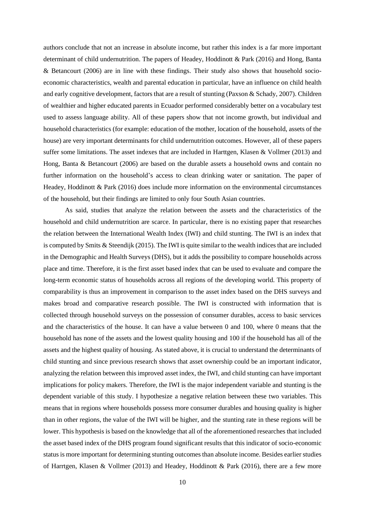authors conclude that not an increase in absolute income, but rather this index is a far more important determinant of child undernutrition. The papers of Headey, Hoddinott & Park (2016) and Hong, Banta & Betancourt (2006) are in line with these findings. Their study also shows that household socioeconomic characteristics, wealth and parental education in particular, have an influence on child health and early cognitive development, factors that are a result of stunting (Paxson & Schady, 2007). Children of wealthier and higher educated parents in Ecuador performed considerably better on a vocabulary test used to assess language ability. All of these papers show that not income growth, but individual and household characteristics (for example: education of the mother, location of the household, assets of the house) are very important determinants for child undernutrition outcomes. However, all of these papers suffer some limitations. The asset indexes that are included in Harttgen, Klasen & Vollmer (2013) and Hong, Banta & Betancourt (2006) are based on the durable assets a household owns and contain no further information on the household's access to clean drinking water or sanitation. The paper of Headey, Hoddinott & Park (2016) does include more information on the environmental circumstances of the household, but their findings are limited to only four South Asian countries.

As said, studies that analyze the relation between the assets and the characteristics of the household and child undernutrition are scarce. In particular, there is no existing paper that researches the relation between the International Wealth Index (IWI) and child stunting. The IWI is an index that is computed by Smits & Steendijk (2015). The IWI is quite similar to the wealth indices that are included in the Demographic and Health Surveys (DHS), but it adds the possibility to compare households across place and time. Therefore, it is the first asset based index that can be used to evaluate and compare the long-term economic status of households across all regions of the developing world. This property of comparability is thus an improvement in comparison to the asset index based on the DHS surveys and makes broad and comparative research possible. The IWI is constructed with information that is collected through household surveys on the possession of consumer durables, access to basic services and the characteristics of the house. It can have a value between 0 and 100, where 0 means that the household has none of the assets and the lowest quality housing and 100 if the household has all of the assets and the highest quality of housing. As stated above, it is crucial to understand the determinants of child stunting and since previous research shows that asset ownership could be an important indicator, analyzing the relation between this improved asset index, the IWI, and child stunting can have important implications for policy makers. Therefore, the IWI is the major independent variable and stunting is the dependent variable of this study. I hypothesize a negative relation between these two variables. This means that in regions where households possess more consumer durables and housing quality is higher than in other regions, the value of the IWI will be higher, and the stunting rate in these regions will be lower. This hypothesis is based on the knowledge that all of the aforementioned researches that included the asset based index of the DHS program found significant results that this indicator of socio-economic status is more important for determining stunting outcomes than absolute income. Besides earlier studies of Harrtgen, Klasen & Vollmer (2013) and Headey, Hoddinott & Park (2016), there are a few more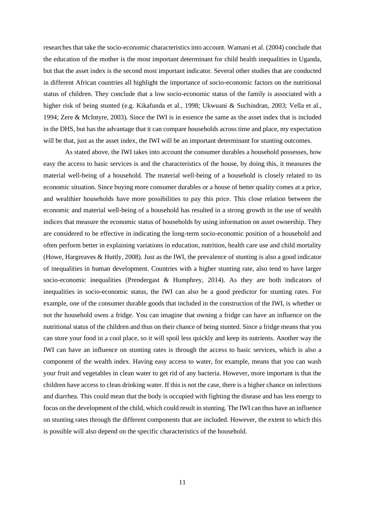researches that take the socio-economic characteristics into account. Wamani et al. (2004) conclude that the education of the mother is the most important determinant for child health inequalities in Uganda, but that the asset index is the second most important indicator. Several other studies that are conducted in different African countries all highlight the importance of socio-economic factors on the nutritional status of children. They conclude that a low socio-economic status of the family is associated with a higher risk of being stunted (e.g. Kikafunda et al., 1998; Ukwuani & Suchindran, 2003; Vella et al., 1994; Zere & McIntyre, 2003). Since the IWI is in essence the same as the asset index that is included in the DHS, but has the advantage that it can compare households across time and place, my expectation will be that, just as the asset index, the IWI will be an important determinant for stunting outcomes.

As stated above, the IWI takes into account the consumer durables a household possesses, how easy the access to basic services is and the characteristics of the house, by doing this, it measures the material well-being of a household. The material well-being of a household is closely related to its economic situation. Since buying more consumer durables or a house of better quality comes at a price, and wealthier households have more possibilities to pay this price. This close relation between the economic and material well-being of a household has resulted in a strong growth in the use of wealth indices that measure the economic status of households by using information on asset ownership. They are considered to be effective in indicating the long-term socio-economic position of a household and often perform better in explaining variations in education, nutrition, health care use and child mortality (Howe, Hargreaves & Huttly, 2008). Just as the IWI, the prevalence of stunting is also a good indicator of inequalities in human development. Countries with a higher stunting rate, also tend to have larger socio-economic inequalities (Prendergast & Humphrey, 2014). As they are both indicators of inequalities in socio-economic status, the IWI can also be a good predictor for stunting rates. For example, one of the consumer durable goods that included in the construction of the IWI, is whether or not the household owns a fridge. You can imagine that owning a fridge can have an influence on the nutritional status of the children and thus on their chance of being stunted. Since a fridge means that you can store your food in a cool place, so it will spoil less quickly and keep its nutrients. Another way the IWI can have an influence on stunting rates is through the access to basic services, which is also a component of the wealth index. Having easy access to water, for example, means that you can wash your fruit and vegetables in clean water to get rid of any bacteria. However, more important is that the children have access to clean drinking water. If this is not the case, there is a higher chance on infections and diarrhea. This could mean that the body is occupied with fighting the disease and has less energy to focus on the development of the child, which could result in stunting. The IWI can thus have an influence on stunting rates through the different components that are included. However, the extent to which this is possible will also depend on the specific characteristics of the household.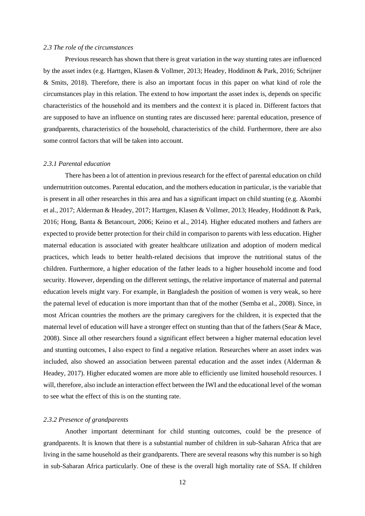#### *2.3 The role of the circumstances*

Previous research has shown that there is great variation in the way stunting rates are influenced by the asset index (e.g. Harttgen, Klasen & Vollmer, 2013; Headey, Hoddinott & Park, 2016; Schrijner & Smits, 2018). Therefore, there is also an important focus in this paper on what kind of role the circumstances play in this relation. The extend to how important the asset index is, depends on specific characteristics of the household and its members and the context it is placed in. Different factors that are supposed to have an influence on stunting rates are discussed here: parental education, presence of grandparents, characteristics of the household, characteristics of the child. Furthermore, there are also some control factors that will be taken into account.

#### *2.3.1 Parental education*

There has been a lot of attention in previous research for the effect of parental education on child undernutrition outcomes. Parental education, and the mothers education in particular, is the variable that is present in all other researches in this area and has a significant impact on child stunting (e.g. Akombi et al., 2017; Alderman & Headey, 2017; Harttgen, Klasen & Vollmer, 2013; Headey, Hoddinott & Park, 2016; Hong, Banta & Betancourt, 2006; Keino et al., 2014). Higher educated mothers and fathers are expected to provide better protection for their child in comparison to parents with less education. Higher maternal education is associated with greater healthcare utilization and adoption of modern medical practices, which leads to better health-related decisions that improve the nutritional status of the children. Furthermore, a higher education of the father leads to a higher household income and food security. However, depending on the different settings, the relative importance of maternal and paternal education levels might vary. For example, in Bangladesh the position of women is very weak, so here the paternal level of education is more important than that of the mother (Semba et al., 2008). Since, in most African countries the mothers are the primary caregivers for the children, it is expected that the maternal level of education will have a stronger effect on stunting than that of the fathers (Sear & Mace, 2008). Since all other researchers found a significant effect between a higher maternal education level and stunting outcomes, I also expect to find a negative relation. Researches where an asset index was included, also showed an association between parental education and the asset index (Alderman & Headey, 2017). Higher educated women are more able to efficiently use limited household resources. I will, therefore, also include an interaction effect between the IWI and the educational level of the woman to see what the effect of this is on the stunting rate.

# *2.3.2 Presence of grandparents*

Another important determinant for child stunting outcomes, could be the presence of grandparents. It is known that there is a substantial number of children in sub-Saharan Africa that are living in the same household as their grandparents. There are several reasons why this number is so high in sub-Saharan Africa particularly. One of these is the overall high mortality rate of SSA. If children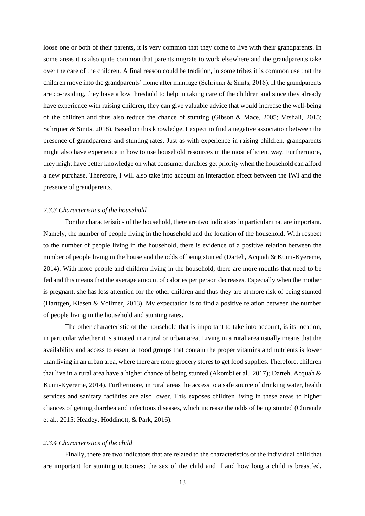loose one or both of their parents, it is very common that they come to live with their grandparents. In some areas it is also quite common that parents migrate to work elsewhere and the grandparents take over the care of the children. A final reason could be tradition, in some tribes it is common use that the children move into the grandparents' home after marriage (Schrijner & Smits, 2018). If the grandparents are co-residing, they have a low threshold to help in taking care of the children and since they already have experience with raising children, they can give valuable advice that would increase the well-being of the children and thus also reduce the chance of stunting (Gibson & Mace, 2005; Mtshali, 2015; Schrijner & Smits, 2018). Based on this knowledge, I expect to find a negative association between the presence of grandparents and stunting rates. Just as with experience in raising children, grandparents might also have experience in how to use household resources in the most efficient way. Furthermore, they might have better knowledge on what consumer durables get priority when the household can afford a new purchase. Therefore, I will also take into account an interaction effect between the IWI and the presence of grandparents.

### *2.3.3 Characteristics of the household*

For the characteristics of the household, there are two indicators in particular that are important. Namely, the number of people living in the household and the location of the household. With respect to the number of people living in the household, there is evidence of a positive relation between the number of people living in the house and the odds of being stunted (Darteh, Acquah & Kumi-Kyereme, 2014). With more people and children living in the household, there are more mouths that need to be fed and this means that the average amount of calories per person decreases. Especially when the mother is pregnant, she has less attention for the other children and thus they are at more risk of being stunted (Harttgen, Klasen & Vollmer, 2013). My expectation is to find a positive relation between the number of people living in the household and stunting rates.

The other characteristic of the household that is important to take into account, is its location, in particular whether it is situated in a rural or urban area. Living in a rural area usually means that the availability and access to essential food groups that contain the proper vitamins and nutrients is lower than living in an urban area, where there are more grocery stores to get food supplies. Therefore, children that live in a rural area have a higher chance of being stunted (Akombi et al., 2017); Darteh, Acquah & Kumi-Kyereme, 2014). Furthermore, in rural areas the access to a safe source of drinking water, health services and sanitary facilities are also lower. This exposes children living in these areas to higher chances of getting diarrhea and infectious diseases, which increase the odds of being stunted (Chirande et al., 2015; Headey, Hoddinott, & Park, 2016).

#### *2.3.4 Characteristics of the child*

Finally, there are two indicators that are related to the characteristics of the individual child that are important for stunting outcomes: the sex of the child and if and how long a child is breastfed.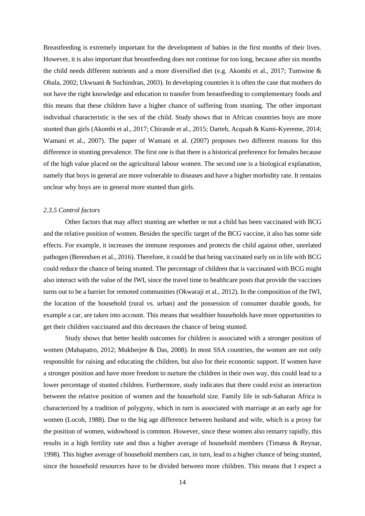Breastfeeding is extremely important for the development of babies in the first months of their lives. However, it is also important that breastfeeding does not continue for too long, because after six months the child needs different nutrients and a more diversified diet (e.g. Akombi et al., 2017; Tumwine & Obala, 2002; Ukwuani & Suchindran, 2003). In developing countries it is often the case that mothers do not have the right knowledge and education to transfer from breastfeeding to complementary foods and this means that these children have a higher chance of suffering from stunting. The other important individual characteristic is the sex of the child. Study shows that in African countries boys are more stunted than girls (Akombi et al., 2017; Chirande et al., 2015; Darteh, Acquah & Kumi-Kyereme, 2014; Wamani et al., 2007). The paper of Wamani et al. (2007) proposes two different reasons for this difference in stunting prevalence. The first one is that there is a historical preference for females because of the high value placed on the agricultural labour women. The second one is a biological explanation, namely that boys in general are more vulnerable to diseases and have a higher morbidity rate. It remains unclear why boys are in general more stunted than girls.

### *2.3.5 Control factors*

Other factors that may affect stunting are whether or not a child has been vaccinated with BCG and the relative position of women. Besides the specific target of the BCG vaccine, it also has some side effects. For example, it increases the immune responses and protects the child against other, unrelated pathogen (Berendsen et al., 2016). Therefore, it could be that being vaccinated early on in life with BCG could reduce the chance of being stunted. The percentage of children that is vaccinated with BCG might also interact with the value of the IWI, since the travel time to healthcare posts that provide the vaccines turns out to be a barrier for remoted communities (Okwaraji et al., 2012). In the composition of the IWI, the location of the household (rural vs. urban) and the possession of consumer durable goods, for example a car, are taken into account. This means that wealthier households have more opportunities to get their children vaccinated and this decreases the chance of being stunted.

Study shows that better health outcomes for children is associated with a stronger position of women (Mahapatro, 2012; Mukherjee & Das, 2008). In most SSA countries, the women are not only responsible for raising and educating the children, but also for their economic support. If women have a stronger position and have more freedom to nurture the children in their own way, this could lead to a lower percentage of stunted children. Furthermore, study indicates that there could exist an interaction between the relative position of women and the household size. Family life in sub-Saharan Africa is characterized by a tradition of polygyny, which in turn is associated with marriage at an early age for women (Locoh, 1988). Due to the big age difference between husband and wife, which is a proxy for the position of women, widowhood is common. However, since these women also remarry rapidly, this results in a high fertility rate and thus a higher average of household members (Timæus & Reynar, 1998). This higher average of household members can, in turn, lead to a higher chance of being stunted, since the household resources have to be divided between more children. This means that I expect a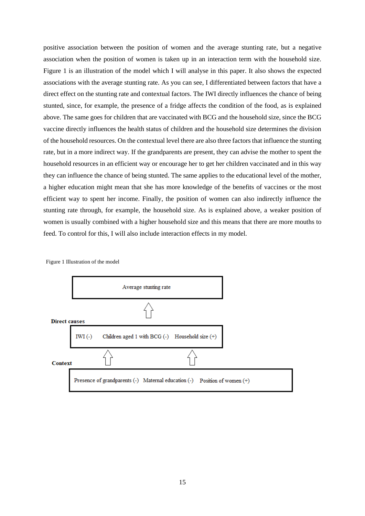positive association between the position of women and the average stunting rate, but a negative association when the position of women is taken up in an interaction term with the household size. Figure 1 is an illustration of the model which I will analyse in this paper. It also shows the expected associations with the average stunting rate. As you can see, I differentiated between factors that have a direct effect on the stunting rate and contextual factors. The IWI directly influences the chance of being stunted, since, for example, the presence of a fridge affects the condition of the food, as is explained above. The same goes for children that are vaccinated with BCG and the household size, since the BCG vaccine directly influences the health status of children and the household size determines the division of the household resources. On the contextual level there are also three factors that influence the stunting rate, but in a more indirect way. If the grandparents are present, they can advise the mother to spent the household resources in an efficient way or encourage her to get her children vaccinated and in this way they can influence the chance of being stunted. The same applies to the educational level of the mother, a higher education might mean that she has more knowledge of the benefits of vaccines or the most efficient way to spent her income. Finally, the position of women can also indirectly influence the stunting rate through, for example, the household size. As is explained above, a weaker position of women is usually combined with a higher household size and this means that there are more mouths to feed. To control for this, I will also include interaction effects in my model.

Figure 1 Illustration of the model

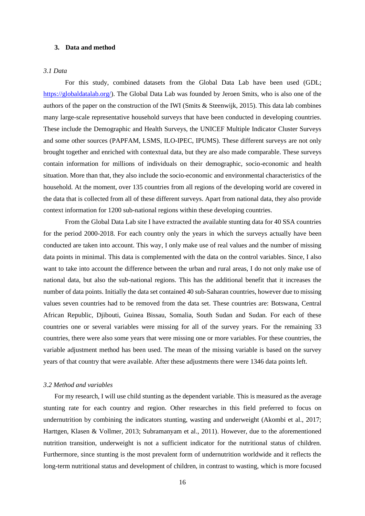# **3. Data and method**

# *3.1 Data*

For this study, combined datasets from the Global Data Lab have been used (GDL; [https://globaldatalab.org/\)](https://globaldatalab.org/). The Global Data Lab was founded by Jeroen Smits, who is also one of the authors of the paper on the construction of the IWI (Smits & Steenwijk, 2015). This data lab combines many large-scale representative household surveys that have been conducted in developing countries. These include the Demographic and Health Surveys, the UNICEF Multiple Indicator Cluster Surveys and some other sources (PAPFAM, LSMS, ILO-IPEC, IPUMS). These different surveys are not only brought together and enriched with contextual data, but they are also made comparable. These surveys contain information for millions of individuals on their demographic, socio-economic and health situation. More than that, they also include the socio-economic and environmental characteristics of the household. At the moment, over 135 countries from all regions of the developing world are covered in the data that is collected from all of these different surveys. Apart from national data, they also provide context information for 1200 sub-national regions within these developing countries.

From the Global Data Lab site I have extracted the available stunting data for 40 SSA countries for the period 2000-2018. For each country only the years in which the surveys actually have been conducted are taken into account. This way, I only make use of real values and the number of missing data points in minimal. This data is complemented with the data on the control variables. Since, I also want to take into account the difference between the urban and rural areas, I do not only make use of national data, but also the sub-national regions. This has the additional benefit that it increases the number of data points. Initially the data set contained 40 sub-Saharan countries, however due to missing values seven countries had to be removed from the data set. These countries are: Botswana, Central African Republic, Djibouti, Guinea Bissau, Somalia, South Sudan and Sudan. For each of these countries one or several variables were missing for all of the survey years. For the remaining 33 countries, there were also some years that were missing one or more variables. For these countries, the variable adjustment method has been used. The mean of the missing variable is based on the survey years of that country that were available. After these adjustments there were 1346 data points left.

#### *3.2 Method and variables*

For my research, I will use child stunting as the dependent variable. This is measured as the average stunting rate for each country and region. Other researches in this field preferred to focus on undernutrition by combining the indicators stunting, wasting and underweight (Akombi et al., 2017; Harttgen, Klasen & Vollmer, 2013; Subramanyam et al., 2011). However, due to the aforementioned nutrition transition, underweight is not a sufficient indicator for the nutritional status of children. Furthermore, since stunting is the most prevalent form of undernutrition worldwide and it reflects the long-term nutritional status and development of children, in contrast to wasting, which is more focused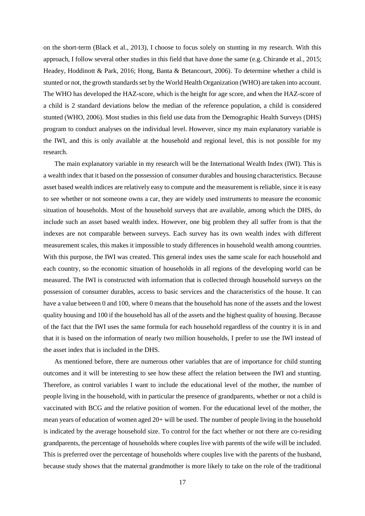on the short-term (Black et al., 2013), I choose to focus solely on stunting in my research. With this approach, I follow several other studies in this field that have done the same (e.g. Chirande et al., 2015; Headey, Hoddinott & Park, 2016; Hong, Banta & Betancourt, 2006). To determine whether a child is stunted or not, the growth standards set by the World Health Organization (WHO) are taken into account. The WHO has developed the HAZ-score, which is the height for age score, and when the HAZ-score of a child is 2 standard deviations below the median of the reference population, a child is considered stunted (WHO, 2006). Most studies in this field use data from the Demographic Health Surveys (DHS) program to conduct analyses on the individual level. However, since my main explanatory variable is the IWI, and this is only available at the household and regional level, this is not possible for my research.

The main explanatory variable in my research will be the International Wealth Index (IWI). This is a wealth index that it based on the possession of consumer durables and housing characteristics. Because asset based wealth indices are relatively easy to compute and the measurement is reliable, since it is easy to see whether or not someone owns a car, they are widely used instruments to measure the economic situation of households. Most of the household surveys that are available, among which the DHS, do include such an asset based wealth index. However, one big problem they all suffer from is that the indexes are not comparable between surveys. Each survey has its own wealth index with different measurement scales, this makes it impossible to study differences in household wealth among countries. With this purpose, the IWI was created. This general index uses the same scale for each household and each country, so the economic situation of households in all regions of the developing world can be measured. The IWI is constructed with information that is collected through household surveys on the possession of consumer durables, access to basic services and the characteristics of the house. It can have a value between 0 and 100, where 0 means that the household has none of the assets and the lowest quality housing and 100 if the household has all of the assets and the highest quality of housing. Because of the fact that the IWI uses the same formula for each household regardless of the country it is in and that it is based on the information of nearly two million households, I prefer to use the IWI instead of the asset index that is included in the DHS.

As mentioned before, there are numerous other variables that are of importance for child stunting outcomes and it will be interesting to see how these affect the relation between the IWI and stunting. Therefore, as control variables I want to include the educational level of the mother, the number of people living in the household, with in particular the presence of grandparents, whether or not a child is vaccinated with BCG and the relative position of women. For the educational level of the mother, the mean years of education of women aged 20+ will be used. The number of people living in the household is indicated by the average household size. To control for the fact whether or not there are co-residing grandparents, the percentage of households where couples live with parents of the wife will be included. This is preferred over the percentage of households where couples live with the parents of the husband, because study shows that the maternal grandmother is more likely to take on the role of the traditional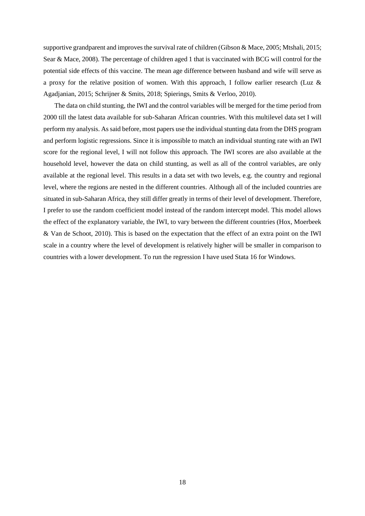supportive grandparent and improves the survival rate of children (Gibson & Mace, 2005; Mtshali, 2015; Sear & Mace, 2008). The percentage of children aged 1 that is vaccinated with BCG will control for the potential side effects of this vaccine. The mean age difference between husband and wife will serve as a proxy for the relative position of women. With this approach, I follow earlier research (Luz & Agadjanian, 2015; Schrijner & Smits, 2018; Spierings, Smits & Verloo, 2010).

The data on child stunting, the IWI and the control variables will be merged for the time period from 2000 till the latest data available for sub-Saharan African countries. With this multilevel data set I will perform my analysis. As said before, most papers use the individual stunting data from the DHS program and perform logistic regressions. Since it is impossible to match an individual stunting rate with an IWI score for the regional level, I will not follow this approach. The IWI scores are also available at the household level, however the data on child stunting, as well as all of the control variables, are only available at the regional level. This results in a data set with two levels, e.g. the country and regional level, where the regions are nested in the different countries. Although all of the included countries are situated in sub-Saharan Africa, they still differ greatly in terms of their level of development. Therefore, I prefer to use the random coefficient model instead of the random intercept model. This model allows the effect of the explanatory variable, the IWI, to vary between the different countries (Hox, Moerbeek & Van de Schoot, 2010). This is based on the expectation that the effect of an extra point on the IWI scale in a country where the level of development is relatively higher will be smaller in comparison to countries with a lower development. To run the regression I have used Stata 16 for Windows.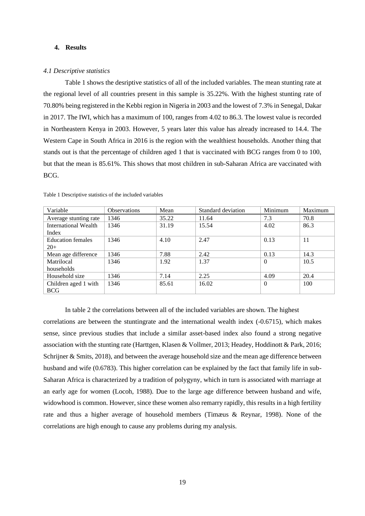# **4. Results**

## *4.1 Descriptive statistics*

Table 1 shows the desriptive statistics of all of the included variables. The mean stunting rate at the regional level of all countries present in this sample is 35.22%. With the highest stunting rate of 70.80% being registered in the Kebbi region in Nigeria in 2003 and the lowest of 7.3% in Senegal, Dakar in 2017. The IWI, which has a maximum of 100, ranges from 4.02 to 86.3. The lowest value is recorded in Northeastern Kenya in 2003. However, 5 years later this value has already increased to 14.4. The Western Cape in South Africa in 2016 is the region with the wealthiest households. Another thing that stands out is that the percentage of children aged 1 that is vaccinated with BCG ranges from 0 to 100, but that the mean is 85.61%. This shows that most children in sub-Saharan Africa are vaccinated with BCG.

| Variable                           | <b>Observations</b> | Mean  | Standard deviation | Minimum  | Maximum |
|------------------------------------|---------------------|-------|--------------------|----------|---------|
| Average stunting rate              | 1346                | 35.22 | 11.64              | 7.3      | 70.8    |
| International Wealth<br>Index      | 1346                | 31.19 | 15.54              | 4.02     | 86.3    |
| Education females<br>$20+$         | 1346                | 4.10  | 2.47               | 0.13     | 11      |
| Mean age difference                | 1346                | 7.88  | 2.42               | 0.13     | 14.3    |
| Matrilocal<br>households           | 1346                | 1.92  | 1.37               | $\Omega$ | 10.5    |
| Household size                     | 1346                | 7.14  | 2.25               | 4.09     | 20.4    |
| Children aged 1 with<br><b>BCG</b> | 1346                | 85.61 | 16.02              | $\Omega$ | 100     |

Table 1 Descriptive statistics of the included variables

In table 2 the correlations between all of the included variables are shown. The highest

correlations are between the stuntingrate and the international wealth index (-0.6715), which makes sense, since previous studies that include a similar asset-based index also found a strong negative association with the stunting rate (Harttgen, Klasen & Vollmer, 2013; Headey, Hoddinott & Park, 2016; Schrijner & Smits, 2018), and between the average household size and the mean age difference between husband and wife (0.6783). This higher correlation can be explained by the fact that family life in sub-Saharan Africa is characterized by a tradition of polygyny, which in turn is associated with marriage at an early age for women (Locoh, 1988). Due to the large age difference between husband and wife, widowhood is common. However, since these women also remarry rapidly, this results in a high fertility rate and thus a higher average of household members (Timæus & Reynar, 1998). None of the correlations are high enough to cause any problems during my analysis.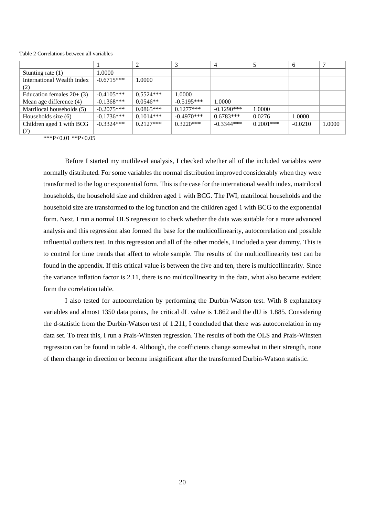|                             |              | ↑           | 3             |               |              | 6         |        |
|-----------------------------|--------------|-------------|---------------|---------------|--------------|-----------|--------|
| Stunting rate $(1)$         | 1.0000       |             |               |               |              |           |        |
| International Wealth Index  | $-0.6715***$ | 1.0000      |               |               |              |           |        |
| (2)                         |              |             |               |               |              |           |        |
| Education females $20+$ (3) | $-0.4105***$ | $0.5524***$ | 1.0000        |               |              |           |        |
| Mean age difference (4)     | $-0.1368***$ | $0.0546**$  | $-0.5195***$  | 1.0000        |              |           |        |
| Matrilocal households (5)   | $-0.2075***$ | $0.0865***$ | $0.1277***$   | $-0.1290$ *** | 1.0000       |           |        |
| Households size (6)         | $-0.1736***$ | $0.1014***$ | $-0.4970$ *** | $0.6783***$   | 0.0276       | 1.0000    |        |
| Children aged 1 with BCG    | $-0.3324***$ | $0.2127***$ | $0.3220***$   | $-0.3344***$  | $0.2001$ *** | $-0.0210$ | 1.0000 |
| (7)                         |              |             |               |               |              |           |        |

Table 2 Correlations between all variables

\*\*\*P<0.01 \*\*P<0.05

Before I started my mutlilevel analysis, I checked whether all of the included variables were normally distributed. For some variables the normal distribution improved considerably when they were transformed to the log or exponential form. This is the case for the international wealth index, matrilocal households, the household size and children aged 1 with BCG. The IWI, matrilocal households and the household size are transformed to the log function and the children aged 1 with BCG to the exponential form. Next, I run a normal OLS regression to check whether the data was suitable for a more advanced analysis and this regression also formed the base for the multicollinearity, autocorrelation and possible influential outliers test. In this regression and all of the other models, I included a year dummy. This is to control for time trends that affect to whole sample. The results of the multicollinearity test can be found in the appendix. If this critical value is between the five and ten, there is multicollinearity. Since the variance inflation factor is 2.11, there is no multicollinearity in the data, what also became evident form the correlation table.

I also tested for autocorrelation by performing the Durbin-Watson test. With 8 explanatory variables and almost 1350 data points, the critical dL value is 1.862 and the dU is 1.885. Considering the d-statistic from the Durbin-Watson test of 1.211, I concluded that there was autocorrelation in my data set. To treat this, I run a Prais-Winsten regression. The results of both the OLS and Prais-Winsten regression can be found in table 4. Although, the coefficients change somewhat in their strength, none of them change in direction or become insignificant after the transformed Durbin-Watson statistic.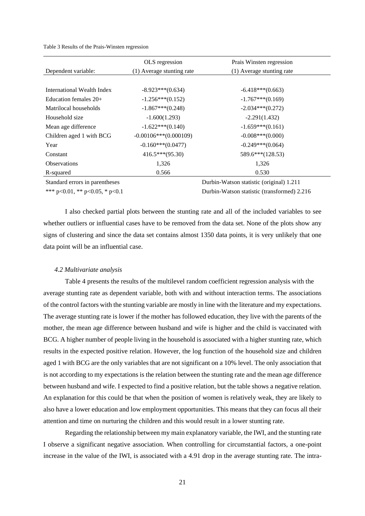Table 3 Results of the Prais-Winsten regression

|                                | OLS regression            | Prais Winsten regression                 |
|--------------------------------|---------------------------|------------------------------------------|
| Dependent variable:            | (1) Average stunting rate | (1) Average stunting rate                |
|                                |                           |                                          |
| International Wealth Index     | $-8.923***(0.634)$        | $-6.418***(0.663)$                       |
| Education females $20+$        | $-1.256***(0.152)$        | $-1.767***(0.169)$                       |
| Matrilocal households          | $-1.867***(0.248)$        | $-2.034***(0.272)$                       |
| Household size                 | $-1.600(1.293)$           | $-2.291(1.432)$                          |
| Mean age difference            | $-1.622***(0.140)$        | $-1.659***(0.161)$                       |
| Children aged 1 with BCG       | $-0.00106***(0.000109)$   | $-0.008***(0.000)$                       |
| Year                           | $-0.160***(0.0477)$       | $-0.249***(0.064)$                       |
| Constant                       | $416.5***(95.30)$         | 589.6***(128.53)                         |
| <b>Observations</b>            | 1,326                     | 1,326                                    |
| R-squared                      | 0.566                     | 0.530                                    |
| Standard errors in parentheses |                           | Durbin-Watson statistic (original) 1.211 |

\*\*\* p<0.01, \*\* p<0.05, \* p<0.1 Durbin-Watson statistic (transformed) 2.216

I also checked partial plots between the stunting rate and all of the included variables to see whether outliers or influential cases have to be removed from the data set. None of the plots show any signs of clustering and since the data set contains almost 1350 data points, it is very unlikely that one data point will be an influential case.

#### *4.2 Multivariate analysis*

Table 4 presents the results of the multilevel random coefficient regression analysis with the average stunting rate as dependent variable, both with and without interaction terms. The associations of the control factors with the stunting variable are mostly in line with the literature and my expectations. The average stunting rate is lower if the mother has followed education, they live with the parents of the mother, the mean age difference between husband and wife is higher and the child is vaccinated with BCG. A higher number of people living in the household is associated with a higher stunting rate, which results in the expected positive relation. However, the log function of the household size and children aged 1 with BCG are the only variables that are not significant on a 10% level. The only association that is not according to my expectations is the relation between the stunting rate and the mean age difference between husband and wife. I expected to find a positive relation, but the table shows a negative relation. An explanation for this could be that when the position of women is relatively weak, they are likely to also have a lower education and low employment opportunities. This means that they can focus all their attention and time on nurturing the children and this would result in a lower stunting rate.

Regarding the relationship between my main explanatory variable, the IWI, and the stunting rate I observe a significant negative association. When controlling for circumstantial factors, a one-point increase in the value of the IWI, is associated with a 4.91 drop in the average stunting rate. The intra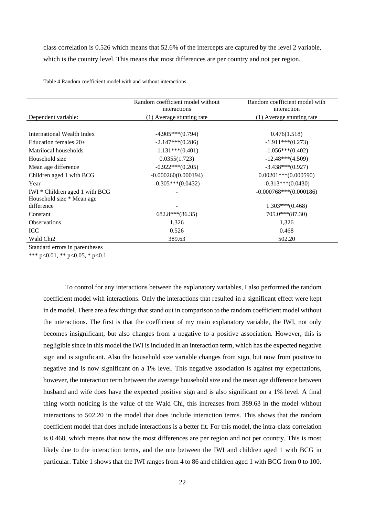class correlation is 0.526 which means that 52.6% of the intercepts are captured by the level 2 variable, which is the country level. This means that most differences are per country and not per region.

Table 4 Random coefficient model with and without interactions

|                                | Random coefficient model without<br>interactions | Random coefficient model with<br>interaction |
|--------------------------------|--------------------------------------------------|----------------------------------------------|
| Dependent variable:            | (1) Average stunting rate                        | (1) Average stunting rate                    |
|                                |                                                  |                                              |
| International Wealth Index     | $-4.905***(0.794)$                               | 0.476(1.518)                                 |
| Education females $20+$        | $-2.147***(0.286)$                               | $-1.911***(0.273)$                           |
| Matrilocal households          | $-1.131***(0.401)$                               | $-1.056***(0.402)$                           |
| Household size                 | 0.0355(1.723)                                    | $-12.48***(4.509)$                           |
| Mean age difference            | $-0.922***(0.205)$                               | $-3.438***(0.927)$                           |
| Children aged 1 with BCG       | $-0.000260(0.000194)$                            | $0.00201$ *** $(0.000590)$                   |
| Year                           | $-0.305***(0.0432)$                              | $-0.313***(0.0430)$                          |
| IWI * Children aged 1 with BCG |                                                  | $-0.000768***(0.000186)$                     |
| Household size * Mean age      |                                                  |                                              |
| difference                     |                                                  | $1.303***(0.468)$                            |
| Constant                       | $682.8***$ $(86.35)$                             | $705.0***$ (87.30)                           |
| <b>Observations</b>            | 1,326                                            | 1,326                                        |
| <b>ICC</b>                     | 0.526                                            | 0.468                                        |
| Wald Chi <sub>2</sub>          | 389.63                                           | 502.20                                       |

Standard errors in parentheses

To control for any interactions between the explanatory variables, I also performed the random coefficient model with interactions. Only the interactions that resulted in a significant effect were kept in de model. There are a few things that stand out in comparison to the random coefficient model without the interactions. The first is that the coefficient of my main explanatory variable, the IWI, not only becomes insignificant, but also changes from a negative to a positive association. However, this is negligible since in this model the IWI is included in an interaction term, which has the expected negative sign and is significant. Also the household size variable changes from sign, but now from positive to negative and is now significant on a 1% level. This negative association is against my expectations, however, the interaction term between the average household size and the mean age difference between husband and wife does have the expected positive sign and is also significant on a 1% level. A final thing worth noticing is the value of the Wald Chi, this increases from 389.63 in the model without interactions to 502.20 in the model that does include interaction terms. This shows that the random coefficient model that does include interactions is a better fit. For this model, the intra-class correlation is 0.468, which means that now the most differences are per region and not per country. This is most likely due to the interaction terms, and the one between the IWI and children aged 1 with BCG in particular. Table 1 shows that the IWI ranges from 4 to 86 and children aged 1 with BCG from 0 to 100.

<sup>\*\*\*</sup> p<0.01, \*\* p<0.05, \* p<0.1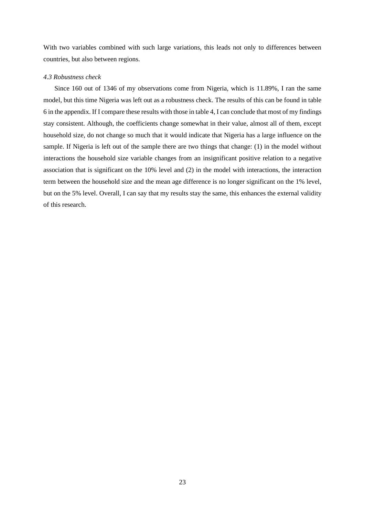With two variables combined with such large variations, this leads not only to differences between countries, but also between regions.

# *4.3 Robustness check*

Since 160 out of 1346 of my observations come from Nigeria, which is 11.89%, I ran the same model, but this time Nigeria was left out as a robustness check. The results of this can be found in table 6 in the appendix. If I compare these results with those in table 4, I can conclude that most of my findings stay consistent. Although, the coefficients change somewhat in their value, almost all of them, except household size, do not change so much that it would indicate that Nigeria has a large influence on the sample. If Nigeria is left out of the sample there are two things that change: (1) in the model without interactions the household size variable changes from an insignificant positive relation to a negative association that is significant on the 10% level and (2) in the model with interactions, the interaction term between the household size and the mean age difference is no longer significant on the 1% level, but on the 5% level. Overall, I can say that my results stay the same, this enhances the external validity of this research.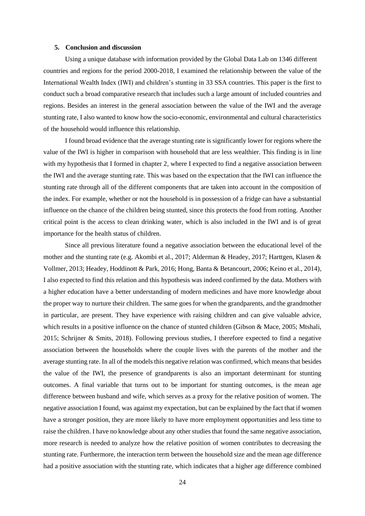# **5. Conclusion and discussion**

Using a unique database with information provided by the Global Data Lab on 1346 different countries and regions for the period 2000-2018, I examined the relationship between the value of the International Wealth Index (IWI) and children's stunting in 33 SSA countries. This paper is the first to conduct such a broad comparative research that includes such a large amount of included countries and regions. Besides an interest in the general association between the value of the IWI and the average stunting rate, I also wanted to know how the socio-economic, environmental and cultural characteristics of the household would influence this relationship.

I found broad evidence that the average stunting rate is significantly lower for regions where the value of the IWI is higher in comparison with household that are less wealthier. This finding is in line with my hypothesis that I formed in chapter 2, where I expected to find a negative association between the IWI and the average stunting rate. This was based on the expectation that the IWI can influence the stunting rate through all of the different components that are taken into account in the composition of the index. For example, whether or not the household is in possession of a fridge can have a substantial influence on the chance of the children being stunted, since this protects the food from rotting. Another critical point is the access to clean drinking water, which is also included in the IWI and is of great importance for the health status of children.

Since all previous literature found a negative association between the educational level of the mother and the stunting rate (e.g. Akombi et al., 2017; Alderman & Headey, 2017; Harttgen, Klasen & Vollmer, 2013; Headey, Hoddinott & Park, 2016; Hong, Banta & Betancourt, 2006; Keino et al., 2014), I also expected to find this relation and this hypothesis was indeed confirmed by the data. Mothers with a higher education have a better understanding of modern medicines and have more knowledge about the proper way to nurture their children. The same goes for when the grandparents, and the grandmother in particular, are present. They have experience with raising children and can give valuable advice, which results in a positive influence on the chance of stunted children (Gibson & Mace, 2005; Mtshali, 2015; Schrijner & Smits, 2018). Following previous studies, I therefore expected to find a negative association between the households where the couple lives with the parents of the mother and the average stunting rate. In all of the models this negative relation was confirmed, which means that besides the value of the IWI, the presence of grandparents is also an important determinant for stunting outcomes. A final variable that turns out to be important for stunting outcomes, is the mean age difference between husband and wife, which serves as a proxy for the relative position of women. The negative association I found, was against my expectation, but can be explained by the fact that if women have a stronger position, they are more likely to have more employment opportunities and less time to raise the children. I have no knowledge about any other studies that found the same negative association, more research is needed to analyze how the relative position of women contributes to decreasing the stunting rate. Furthermore, the interaction term between the household size and the mean age difference had a positive association with the stunting rate, which indicates that a higher age difference combined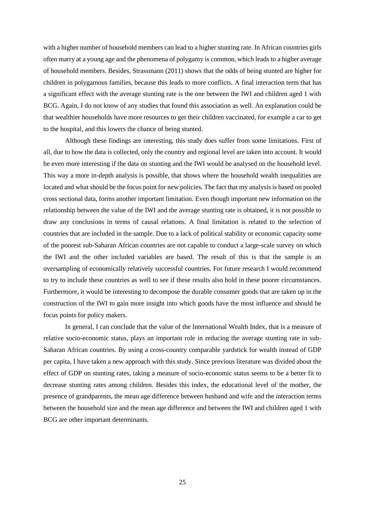with a higher number of household members can lead to a higher stunting rate. In African countries girls often marry at a young age and the phenomena of polygamy is common, which leads to a higher average of household members. Besides, Strassmann (2011) shows that the odds of being stunted are higher for children in polygamous families, because this leads to more conflicts. A final interaction term that has a significant effect with the average stunting rate is the one between the IWI and children aged 1 with BCG. Again, I do not know of any studies that found this association as well. An explanation could be that wealthier households have more resources to get their children vaccinated, for example a car to get to the hospital, and this lowers the chance of being stunted.

Although these findings are interesting, this study does suffer from some limitations. First of all, due to how the data is collected, only the country and regional level are taken into account. It would be even more interesting if the data on stunting and the IWI would be analysed on the household level. This way a more in-depth analysis is possible, that shows where the household wealth inequalities are located and what should be the focus point for new policies. The fact that my analysis is based on pooled cross sectional data, forms another important limitation. Even though important new information on the relationship between the value of the IWI and the average stunting rate is obtained, it is not possible to draw any conclusions in terms of causal relations. A final limitation is related to the selection of countries that are included in the sample. Due to a lack of political stability or economic capacity some of the poorest sub-Saharan African countries are not capable to conduct a large-scale survey on which the IWI and the other included variables are based. The result of this is that the sample is an oversampling of economically relatively successful countries. For future research I would recommend to try to include these countries as well to see if these results also hold in these poorer circumstances. Furthermore, it would be interesting to decompose the durable consumer goods that are taken up in the construction of the IWI to gain more insight into which goods have the most influence and should be focus points for policy makers.

In general, I can conclude that the value of the International Wealth Index, that is a measure of relative socio-economic status, plays an important role in reducing the average stunting rate in sub-Saharan African countries. By using a cross-country comparable yardstick for wealth instead of GDP per capita, I have taken a new approach with this study. Since previous literature was divided about the effect of GDP on stunting rates, taking a measure of socio-economic status seems to be a better fit to decrease stunting rates among children. Besides this index, the educational level of the mother, the presence of grandparents, the mean age difference between husband and wife and the interaction terms between the household size and the mean age difference and between the IWI and children aged 1 with BCG are other important determinants.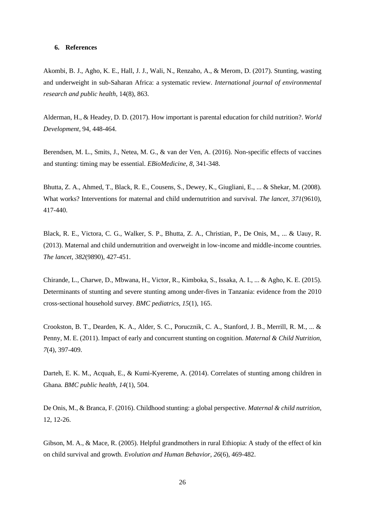#### **6. References**

Akombi, B. J., Agho, K. E., Hall, J. J., Wali, N., Renzaho, A., & Merom, D. (2017). Stunting, wasting and underweight in sub-Saharan Africa: a systematic review. *International journal of environmental research and public health*, 14(8), 863.

Alderman, H., & Headey, D. D. (2017). How important is parental education for child nutrition?. *World Development*, 94, 448-464.

Berendsen, M. L., Smits, J., Netea, M. G., & van der Ven, A. (2016). Non-specific effects of vaccines and stunting: timing may be essential. *EBioMedicine, 8*, 341-348.

Bhutta, Z. A., Ahmed, T., Black, R. E., Cousens, S., Dewey, K., Giugliani, E., ... & Shekar, M. (2008). What works? Interventions for maternal and child undernutrition and survival. *The lancet, 371*(9610), 417-440.

Black, R. E., Victora, C. G., Walker, S. P., Bhutta, Z. A., Christian, P., De Onis, M., ... & Uauy, R. (2013). Maternal and child undernutrition and overweight in low-income and middle-income countries. *The lancet, 382*(9890), 427-451.

Chirande, L., Charwe, D., Mbwana, H., Victor, R., Kimboka, S., Issaka, A. I., ... & Agho, K. E. (2015). Determinants of stunting and severe stunting among under-fives in Tanzania: evidence from the 2010 cross-sectional household survey. *BMC pediatrics, 15*(1), 165.

Crookston, B. T., Dearden, K. A., Alder, S. C., Porucznik, C. A., Stanford, J. B., Merrill, R. M., ... & Penny, M. E. (2011). Impact of early and concurrent stunting on cognition. *Maternal & Child Nutrition, 7*(4), 397-409.

Darteh, E. K. M., Acquah, E., & Kumi-Kyereme, A. (2014). Correlates of stunting among children in Ghana*. BMC public health, 14*(1), 504.

De Onis, M., & Branca, F. (2016). Childhood stunting: a global perspective. *Maternal & child nutrition*, 12, 12-26.

Gibson, M. A., & Mace, R. (2005). Helpful grandmothers in rural Ethiopia: A study of the effect of kin on child survival and growth. *Evolution and Human Behavior, 26*(6), 469-482.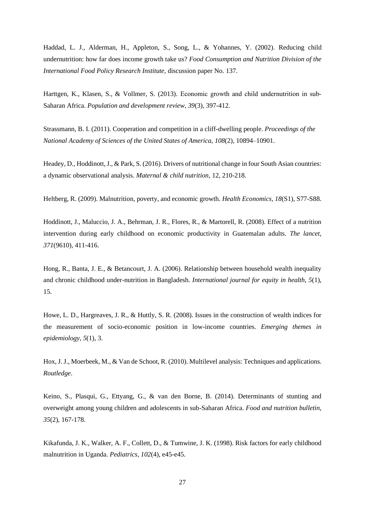Haddad, L. J., Alderman, H., Appleton, S., Song, L., & Yohannes, Y. (2002). Reducing child undernutrition: how far does income growth take us? *Food Consumption and Nutrition Division of the International Food Policy Research Institute,* discussion paper No. 137.

Harttgen, K., Klasen, S., & Vollmer, S. (2013). Economic growth and child undernutrition in sub‐ Saharan Africa. *Population and development review, 39*(3), 397-412.

Strassmann, B. I. (2011). Cooperation and competition in a cliff-dwelling people. *Proceedings of the National Academy of Sciences of the United States of America, 108*(2), 10894–10901.

Headey, D., Hoddinott, J., & Park, S. (2016). Drivers of nutritional change in four South Asian countries: a dynamic observational analysis. *Maternal & child nutrition,* 12, 210-218.

Heltberg, R. (2009). Malnutrition, poverty, and economic growth. *Health Economics, 18*(S1), S77-S88.

Hoddinott, J., Maluccio, J. A., Behrman, J. R., Flores, R., & Martorell, R. (2008). Effect of a nutrition intervention during early childhood on economic productivity in Guatemalan adults. *The lancet, 371*(9610), 411-416.

Hong, R., Banta, J. E., & Betancourt, J. A. (2006). Relationship between household wealth inequality and chronic childhood under-nutrition in Bangladesh. *International journal for equity in health, 5*(1), 15.

Howe, L. D., Hargreaves, J. R., & Huttly, S. R. (2008). Issues in the construction of wealth indices for the measurement of socio-economic position in low-income countries. *Emerging themes in epidemiology, 5*(1), 3.

Hox, J. J., Moerbeek, M., & Van de Schoot, R. (2010). Multilevel analysis: Techniques and applications. *Routledge*.

Keino, S., Plasqui, G., Ettyang, G., & van den Borne, B. (2014). Determinants of stunting and overweight among young children and adolescents in sub-Saharan Africa. *Food and nutrition bulletin, 35*(2), 167-178.

Kikafunda, J. K., Walker, A. F., Collett, D., & Tumwine, J. K. (1998). Risk factors for early childhood malnutrition in Uganda. *Pediatrics, 102*(4), e45-e45.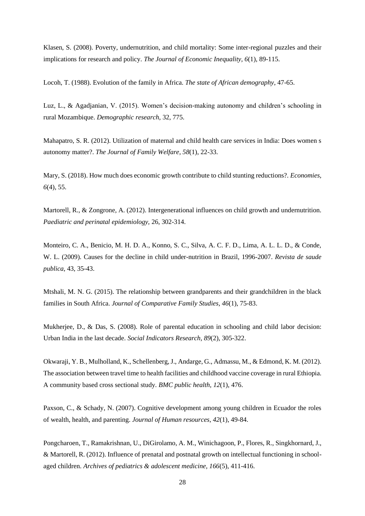Klasen, S. (2008). Poverty, undernutrition, and child mortality: Some inter-regional puzzles and their implications for research and policy. *The Journal of Economic Inequality, 6*(1), 89-115.

Locoh, T. (1988). Evolution of the family in Africa. *The state of African demography*, 47-65.

Luz, L., & Agadjanian, V. (2015). Women's decision-making autonomy and children's schooling in rural Mozambique. *Demographic research*, 32, 775.

Mahapatro, S. R. (2012). Utilization of maternal and child health care services in India: Does women s autonomy matter?. *The Journal of Family Welfare, 58*(1), 22-33.

Mary, S. (2018). How much does economic growth contribute to child stunting reductions?. *Economies, 6*(4), 55.

Martorell, R., & Zongrone, A. (2012). Intergenerational influences on child growth and undernutrition. *Paediatric and perinatal epidemiology,* 26, 302-314.

Monteiro, C. A., Benicio, M. H. D. A., Konno, S. C., Silva, A. C. F. D., Lima, A. L. L. D., & Conde, W. L. (2009). Causes for the decline in child under-nutrition in Brazil, 1996-2007. *Revista de saude publica*, 43, 35-43.

Mtshali, M. N. G. (2015). The relationship between grandparents and their grandchildren in the black families in South Africa. *Journal of Comparative Family Studies, 46*(1), 75-83.

Mukherjee, D., & Das, S. (2008). Role of parental education in schooling and child labor decision: Urban India in the last decade. *Social Indicators Research, 89*(2), 305-322.

Okwaraji, Y. B., Mulholland, K., Schellenberg, J., Andarge, G., Admassu, M., & Edmond, K. M. (2012). The association between travel time to health facilities and childhood vaccine coverage in rural Ethiopia. A community based cross sectional study*. BMC public health, 12*(1), 476.

Paxson, C., & Schady, N. (2007). Cognitive development among young children in Ecuador the roles of wealth, health, and parenting. *Journal of Human resources, 42*(1), 49-84.

Pongcharoen, T., Ramakrishnan, U., DiGirolamo, A. M., Winichagoon, P., Flores, R., Singkhornard, J., & Martorell, R. (2012). Influence of prenatal and postnatal growth on intellectual functioning in schoolaged children. *Archives of pediatrics & adolescent medicine, 166*(5), 411-416.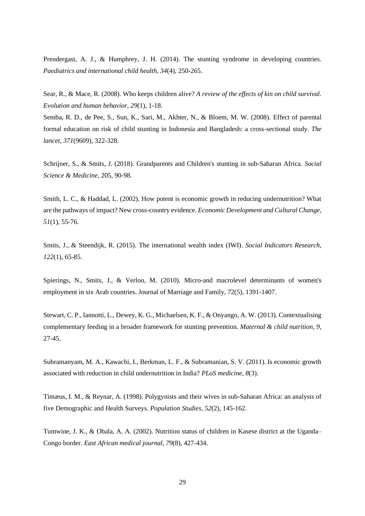Prendergast, A. J., & Humphrey, J. H. (2014). The stunting syndrome in developing countries. *Paediatrics and international child health, 34*(4), 250-265.

Sear, R., & Mace, R. (2008). Who keeps children alive? *A review of the effects of kin on child survival. Evolution and human behavior, 29*(1), 1-18.

Semba, R. D., de Pee, S., Sun, K., Sari, M., Akhter, N., & Bloem, M. W. (2008). Effect of parental formal education on risk of child stunting in Indonesia and Bangladesh: a cross-sectional study. *The lancet, 371*(9609), 322-328.

Schrijner, S., & Smits, J. (2018). Grandparents and Children's stunting in sub-Saharan Africa. *Social Science & Medicine*, 205, 90-98.

Smith, L. C., & Haddad, L. (2002). How potent is economic growth in reducing undernutrition? What are the pathways of impact? New cross-country evidence. *Economic Development and Cultural Change, 51*(1), 55-76.

Smits, J., & Steendijk, R. (2015). The international wealth index (IWI). *Social Indicators Research, 122*(1), 65-85.

Spierings, N., Smits, J., & Verloo, M. (2010). Micro-and macrolevel determinants of women's employment in six Arab countries. Journal of Marriage and Family, 72(5), 1391-1407.

Stewart, C. P., Iannotti, L., Dewey, K. G., Michaelsen, K. F., & Onyango, A. W. (2013). Contextualising complementary feeding in a broader framework for stunting prevention. *Maternal & child nutrition, 9*, 27-45.

Subramanyam, M. A., Kawachi, I., Berkman, L. F., & Subramanian, S. V. (2011). Is economic growth associated with reduction in child undernutrition in India? *PLoS medicine, 8*(3).

Timæus, I. M., & Reynar, A. (1998). Polygynists and their wives in sub-Saharan Africa: an analysis of five Demographic and Health Surveys. *Population Studies, 52*(2), 145-162.

Tumwine, J. K., & Obala, A. A. (2002). Nutrition status of children in Kasese district at the Uganda– Congo border. *East African medical journal, 79*(8), 427-434.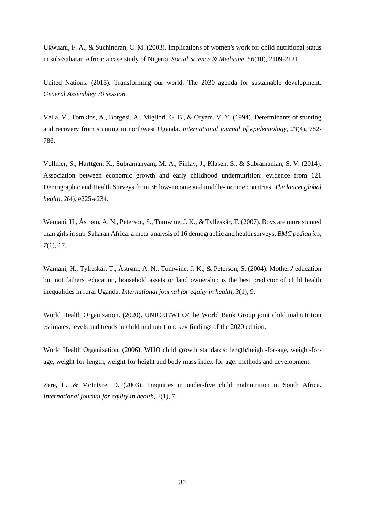Ukwuani, F. A., & Suchindran, C. M. (2003). Implications of women's work for child nutritional status in sub-Saharan Africa: a case study of Nigeria. *Social Science & Medicine, 56*(10), 2109-2121.

United Nations. (2015). Transforming our world: The 2030 agenda for sustainable development. *General Assembley 70 session.*

Vella, V., Tomkins, A., Borgesi, A., Migliori, G. B., & Oryem, V. Y. (1994). Determinants of stunting and recovery from stunting in northwest Uganda. *International journal of epidemiology, 23*(4), 782- 786.

Vollmer, S., Harttgen, K., Subramanyam, M. A., Finlay, J., Klasen, S., & Subramanian, S. V. (2014). Association between economic growth and early childhood undernutrition: evidence from 121 Demographic and Health Surveys from 36 low-income and middle-income countries. *The lancet global health, 2*(4), e225-e234.

Wamani, H., Åstrøm, A. N., Peterson, S., Tumwine, J. K., & Tylleskär, T. (2007). Boys are more stunted than girls in sub-Saharan Africa: a meta-analysis of 16 demographic and health surveys. *BMC pediatrics, 7*(1), 17.

Wamani, H., Tylleskär, T., Åstrøm, A. N., Tumwine, J. K., & Peterson, S. (2004). Mothers' education but not fathers' education, household assets or land ownership is the best predictor of child health inequalities in rural Uganda. *International journal for equity in health, 3*(1), 9.

World Health Organization. (2020). UNICEF/WHO/The World Bank Group joint child malnutrition estimates: levels and trends in child malnutrition: key findings of the 2020 edition.

World Health Organization. (2006). WHO child growth standards: length/height-for-age, weight-forage, weight-for-length, weight-for-height and body mass index-for-age: methods and development.

Zere, E., & McIntyre, D. (2003). Inequities in under-five child malnutrition in South Africa. *International journal for equity in health, 2*(1), 7.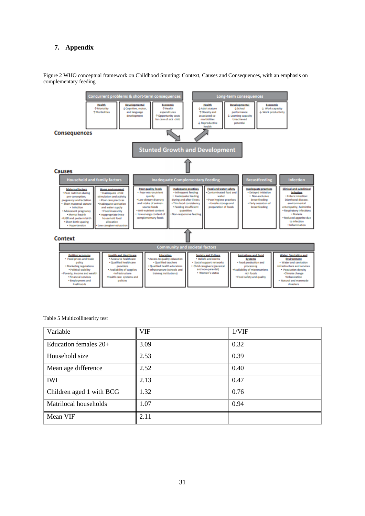# **7. Appendix**

Figure 2 WHO conceptual framework on Childhood Stunting: Context, Causes and Consequences, with an emphasis on complementary feeding



#### Table 5 Multicollinearity test

| Variable                 | <b>VIF</b> | 1/VIF |
|--------------------------|------------|-------|
| Education females 20+    | 3.09       | 0.32  |
| Household size           | 2.53       | 0.39  |
| Mean age difference      | 2.52       | 0.40  |
| <b>IWI</b>               | 2.13       | 0.47  |
| Children aged 1 with BCG | 1.32       | 0.76  |
| Matrilocal households    | 1.07       | 0.94  |
| Mean VIF                 | 2.11       |       |